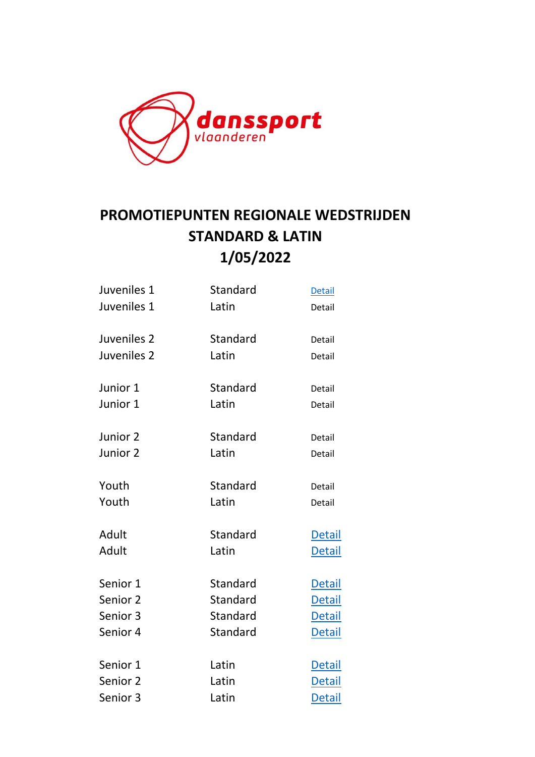

## **PROMOTIEPUNTEN REGIONALE WEDSTRIJDEN STANDARD & LATIN 1/05/2022**

| Juveniles 1 | Standard | <b>Detail</b> |
|-------------|----------|---------------|
| Juveniles 1 | Latin    | Detail        |
| Juveniles 2 | Standard | Detail        |
| Juveniles 2 | Latin    | Detail        |
| Junior 1    | Standard | Detail        |
| Junior 1    | Latin    | Detail        |
| Junior 2    | Standard | Detail        |
| Junior 2    | Latin    | Detail        |
| Youth       | Standard | Detail        |
| Youth       | Latin    | Detail        |
| Adult       | Standard | <b>Detail</b> |
| Adult       | Latin    | <b>Detail</b> |
| Senior 1    | Standard | <b>Detail</b> |
| Senior 2    | Standard | <b>Detail</b> |
| Senior 3    | Standard | <b>Detail</b> |
| Senior 4    | Standard | <b>Detail</b> |
| Senior 1    | Latin    | <b>Detail</b> |
| Senior 2    | Latin    | <b>Detail</b> |
| Senior 3    | Latin    | <b>Detail</b> |
|             |          |               |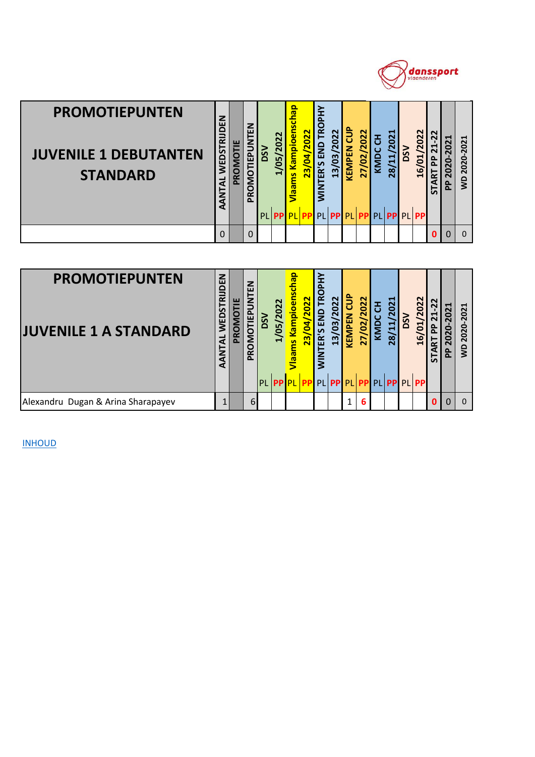

| <b>PROMOTIEPUNTEN</b><br><b>JUVENILE 1 DEBUTANTEN</b><br><b>STANDARD</b> | WEDSTRIJDEN<br>AANTAL | PROMOTIE | PROMOTIEPUNTEN       | <b>NSO</b><br>PL | 1/05/2022<br><b>PP</b> | /laams Kampioenschap<br>PL | 23/04/2022<br><b>PP</b> | <b>WINTER'S END TROPHY</b>  | 13/03/2022<br>PL PP | <b>KEMPEN CUP</b><br>PL | 27/02/2022 | KMDC CH | 28/11/2021<br><b>PP PL PP</b> | DSV        | 16/01/2022<br>PL PP | 21-22<br><b>START PP</b>  | 2020-2021<br>운 | VD 2020-2021 |
|--------------------------------------------------------------------------|-----------------------|----------|----------------------|------------------|------------------------|----------------------------|-------------------------|-----------------------------|---------------------|-------------------------|------------|---------|-------------------------------|------------|---------------------|---------------------------|----------------|--------------|
|                                                                          | 0                     |          | 0                    |                  |                        |                            |                         |                             |                     |                         |            |         |                               |            |                     | O                         | 0              | $\Omega$     |
|                                                                          |                       |          |                      |                  |                        |                            |                         |                             |                     |                         |            |         |                               |            |                     |                           |                |              |
| <b>PROMOTIEPUNTEN</b><br><b>JUVENILE 1 A STANDARD</b>                    | NTAL WEDSTRIJDEN      | PROMOTIE | <b>ROMOTIEPUNTEN</b> | <b>NSO</b>       | 1/05/2022              | ams Kampioenschap          | 23/04/2022              | <b>TROPHY</b><br>NTER'S END | 13/03/2022          | <b>KEMPEN CUP</b>       | 27/02/2022 | KMDC CH | 28/11/2021                    | <b>DSV</b> | 16/01/2022          | 21-22<br><b>RTPP</b><br>⋖ | 2020-2021<br>윤 | WD 2020-2021 |

| <b>PROMOTIEPUNTEN</b><br><b>JUVENILE 1 A STANDARD</b> | Z<br>БΕ<br>ᇎ<br>5<br>WED<br>₹<br>α | ш<br>ဥ | z<br>ш<br>₹<br><b>MOTIE</b><br>O<br>Ĕ | ΩŠ | 22<br>မြ | a<br>ampioer<br>g | /2022<br>$\overline{a}$<br>23 | ≻<br>Δ.<br>c<br>FŘ<br><b>SP</b><br>ER'S<br>$rac{2}{5}$ | 2022<br>$\mathbf{S}$<br>$\overline{13}$ | ້ອ<br>KEMPEN | 2022<br>$\mathbf{S}$<br>27 | <b>ND</b> | ↤<br>202<br>ਜ਼<br>$\infty$                                    | မြိ | 022<br>$\mathbf{\Omega}$<br>$\overline{5}$<br>$\frac{6}{1}$ | N<br>↤<br>۵.<br>ضة<br>능 | ↽<br><u>a</u><br>௳ | ᆸ<br>202<br>2020<br>g |
|-------------------------------------------------------|------------------------------------|--------|---------------------------------------|----|----------|-------------------|-------------------------------|--------------------------------------------------------|-----------------------------------------|--------------|----------------------------|-----------|---------------------------------------------------------------|-----|-------------------------------------------------------------|-------------------------|--------------------|-----------------------|
|                                                       |                                    |        |                                       |    |          |                   |                               |                                                        |                                         |              |                            |           | PL <mark>PP PL PP</mark> PL PP PL <mark>PP</mark> PL PP PL PP |     |                                                             |                         |                    |                       |
| Alexandru Dugan & Arina Sharapayev                    |                                    |        | $6 \overline{6}$                      |    |          |                   |                               |                                                        |                                         |              | 6                          |           |                                                               |     |                                                             |                         | $\Omega$           | $\Omega$              |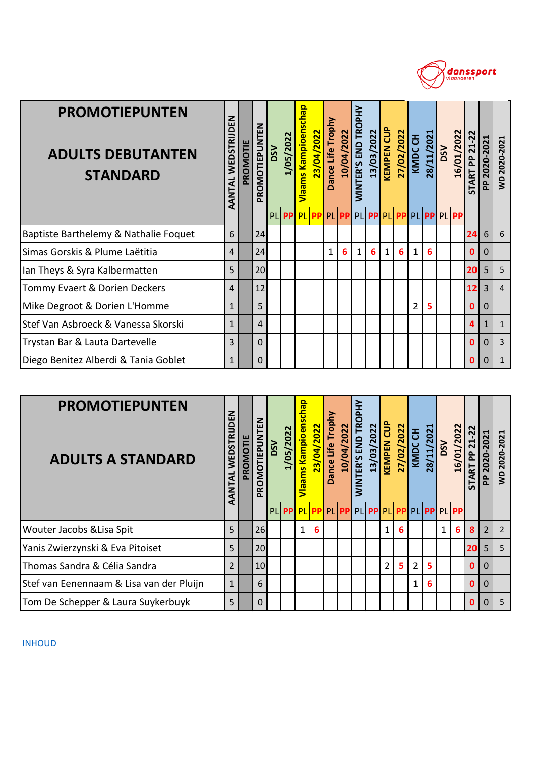

| <b>PROMOTIEPUNTEN</b><br><b>ADULTS DEBUTANTEN</b><br><b>STANDARD</b> | AANTAL WEDSTRIJDEN | PROMOTIE | ITEN<br><b>PROMOTIEPUN</b> | <b>DSV</b> | 1/05/2022 | Vlaams Kampioenschap<br>PL <b>PPPPLPP</b> | 23/04/2022 | Dance Life Trophy | 10/04/2022 | <b>WINTER'S END TROPHY</b><br>PL PP PL PP PL PP PL PP PL PP | 13/03/2022     | <b>KEMPEN CUP</b> | 27/02/2022 | KMDC CH        | 28/11/2021 | <b>VSQ</b> | 16/01/2022 | <b>START PP 21-22</b> | PP 2020-2021 | WD 2020-2021   |
|----------------------------------------------------------------------|--------------------|----------|----------------------------|------------|-----------|-------------------------------------------|------------|-------------------|------------|-------------------------------------------------------------|----------------|-------------------|------------|----------------|------------|------------|------------|-----------------------|--------------|----------------|
| Baptiste Barthelemy & Nathalie Foquet                                | 6                  |          | 24                         |            |           |                                           |            |                   |            |                                                             |                |                   |            |                |            |            |            | 24                    | 6            | 6              |
| Simas Gorskis & Plume Laëtitia                                       | $\overline{4}$     |          | 24                         |            |           |                                           |            | $\mathbf{1}$      | 6          | 1                                                           | 6 <sup>1</sup> | $\mathbf{1}$      | 6          | $\mathbf{1}$   | 6          |            |            | 0                     | 0            |                |
| Ian Theys & Syra Kalbermatten                                        | 5                  |          | 20                         |            |           |                                           |            |                   |            |                                                             |                |                   |            |                |            |            |            | 20                    | 5            | 5              |
| Tommy Evaert & Dorien Deckers                                        | $\overline{4}$     |          | 12                         |            |           |                                           |            |                   |            |                                                             |                |                   |            |                |            |            |            | 12                    | 3            | $\overline{4}$ |
| Mike Degroot & Dorien L'Homme                                        | $\mathbf{1}$       |          | 5                          |            |           |                                           |            |                   |            |                                                             |                |                   |            | $\overline{2}$ | 5          |            |            | 0                     | 0            |                |
| Stef Van Asbroeck & Vanessa Skorski                                  | $\mathbf{1}$       |          | $\overline{4}$             |            |           |                                           |            |                   |            |                                                             |                |                   |            |                |            |            |            | 4                     | $\mathbf{1}$ | $\mathbf{1}$   |
| Trystan Bar & Lauta Dartevelle                                       | 3                  |          | $\Omega$                   |            |           |                                           |            |                   |            |                                                             |                |                   |            |                |            |            |            | 0                     | 0            | $\overline{3}$ |
| Diego Benitez Alberdi & Tania Goblet                                 | $\mathbf{1}$       |          | 0                          |            |           |                                           |            |                   |            |                                                             |                |                   |            |                |            |            |            | 0                     | $\Omega$     | $\mathbf{1}$   |

| <b>PROMOTIEPUNTEN</b><br><b>ADULTS A STANDARD</b> | WEDSTRIJDEN<br>AANTAL | PROMOTIE | 롭<br><b>OMOTIEPUN</b><br><b>PE</b> | <b>NSO</b> | /05/2022                                        | qeq<br>aams Kampioens | 23/04/2022 | Dance Life Trophy | 10/04/2022 | <b>WINTER'S END TROPHY</b> | 13/03/2022 | ້ອ<br>KEMPEN   | 27/02/2022 | KMDC CH        | 28/11/2021 | DSV          | 16/01/2022 | $\sim$<br>$\sim$<br>ᆗ<br>$\sim$<br>운<br><b>ART</b><br>5 | ᆸ<br>202<br>2020-<br>운 | WD 2020-2021   |
|---------------------------------------------------|-----------------------|----------|------------------------------------|------------|-------------------------------------------------|-----------------------|------------|-------------------|------------|----------------------------|------------|----------------|------------|----------------|------------|--------------|------------|---------------------------------------------------------|------------------------|----------------|
|                                                   |                       |          |                                    |            | PL PP PL PP PL PP PL PP PL PP PL PP PL PP PL PP |                       |            |                   |            |                            |            |                |            |                |            |              |            |                                                         |                        |                |
| <b>Wouter Jacobs &amp; Lisa Spit</b>              | 5                     |          | 26                                 |            |                                                 | $\mathbf{1}$          | 6          |                   |            |                            |            | $\mathbf{1}$   | 6          |                |            | $\mathbf{1}$ | 6          | 8                                                       | $\overline{2}$         | $\overline{2}$ |
| Yanis Zwierzynski & Eva Pitoiset                  | 5                     |          | 20                                 |            |                                                 |                       |            |                   |            |                            |            |                |            |                |            |              |            | 20                                                      | 5 <sup>1</sup>         | 5              |
| Thomas Sandra & Célia Sandra                      | $\overline{2}$        |          | 10                                 |            |                                                 |                       |            |                   |            |                            |            | $\overline{2}$ | 5.         | $\overline{2}$ | 5          |              |            | $\bf{0}$                                                | 0                      |                |
| Stef van Eenennaam & Lisa van der Pluijn          | $\mathbf{1}$          |          | 6                                  |            |                                                 |                       |            |                   |            |                            |            |                |            | $\mathbf{1}$   | 6          |              |            | $\bf{0}$                                                | $\Omega$               |                |
| Tom De Schepper & Laura Suykerbuyk                | 5                     |          | 0                                  |            |                                                 |                       |            |                   |            |                            |            |                |            |                |            |              |            |                                                         | 0                      | 5              |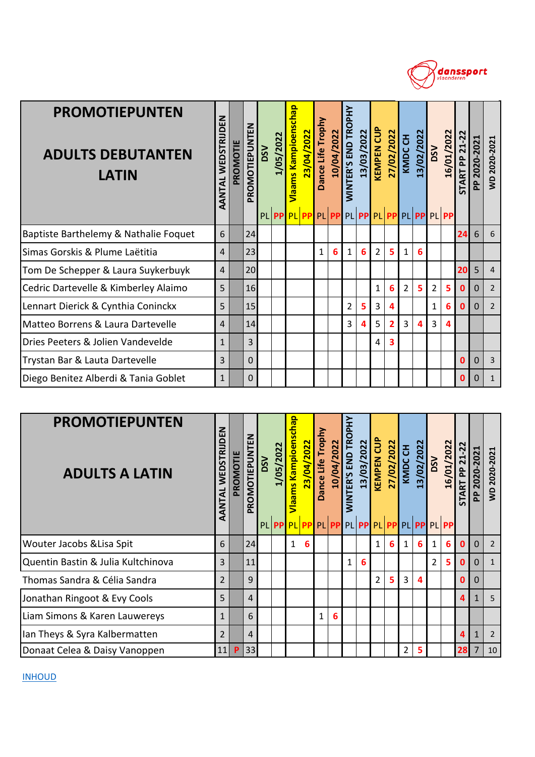

| <b>PROMOTIEPUNTEN</b><br><b>ADULTS DEBUTANTEN</b><br>LATIN | AANTAL WEDSTRIJDEN     | PROMOTIE | PROMOTIEPUNTEN | DSV        | 1/05/2022<br><b>PL PP</b> | Vlaams Kampioenschap<br>PL PP PL PP | 23/04/2022 | Dance Life Trophy | 10/04/2022      | <b>WINTER'S END TROPHY</b> | 13/03/2022     | <b>KEMPEN CUP</b> | 27/02/2022     | KMDC CH        | 13/02/2022<br>PL PP PL PP PL PP PL PP | <b>DSV</b>     | 16/01/2022 | <b>START PP 21-22</b> | PP 2020-2021 | WD 2020-2021   |
|------------------------------------------------------------|------------------------|----------|----------------|------------|---------------------------|-------------------------------------|------------|-------------------|-----------------|----------------------------|----------------|-------------------|----------------|----------------|---------------------------------------|----------------|------------|-----------------------|--------------|----------------|
| Baptiste Barthelemy & Nathalie Foquet                      | 6                      |          | 24             |            |                           |                                     |            |                   |                 |                            |                |                   |                |                |                                       |                |            | 24                    | 6            | 6              |
| Simas Gorskis & Plume Laëtitia                             | $\overline{4}$         |          | 23             |            |                           |                                     |            | $\mathbf{1}$      | $6\overline{6}$ | $\mathbf{1}$               | 6              | $\overline{2}$    | 5              | 1              | 6                                     |                |            |                       |              |                |
| Tom De Schepper & Laura Suykerbuyk                         | $\overline{4}$         |          | 20             |            |                           |                                     |            |                   |                 |                            |                |                   |                |                |                                       |                |            | 20                    | 5            | $\overline{4}$ |
| Cedric Dartevelle & Kimberley Alaimo                       | 5                      |          | 16             |            |                           |                                     |            |                   |                 |                            |                | $\mathbf{1}$      | 6              | $\overline{2}$ | 5                                     | $\overline{2}$ | 5          | 0                     | $\mathbf{0}$ | $\overline{2}$ |
| Lennart Dierick & Cynthia Coninckx                         | 5                      |          | 15             |            |                           |                                     |            |                   |                 | 2                          | 5              | 3                 | 4              |                |                                       | $\mathbf{1}$   | 6          | $\mathbf 0$           | $\mathbf 0$  | $\overline{2}$ |
| Matteo Borrens & Laura Dartevelle                          | 4                      |          | 14             |            |                           |                                     |            |                   |                 | 3                          | $\overline{a}$ | 5                 | $\overline{2}$ | $\overline{3}$ | $\overline{a}$                        | $\overline{3}$ | 4          |                       |              |                |
| Dries Peeters & Jolien Vandevelde                          | $\mathbf{1}$           |          | 3              |            |                           |                                     |            |                   |                 |                            |                | 4                 | 3              |                |                                       |                |            |                       |              |                |
| Trystan Bar & Lauta Dartevelle                             | 3                      |          | 0              |            |                           |                                     |            |                   |                 |                            |                |                   |                |                |                                       |                |            | 0                     | 0            | 3              |
| Diego Benitez Alberdi & Tania Goblet                       | $\mathbf{1}$           |          | 0              |            |                           |                                     |            |                   |                 |                            |                |                   |                |                |                                       |                |            | 0                     | $\mathbf 0$  | $\mathbf 1$    |
|                                                            |                        |          |                |            |                           |                                     |            |                   |                 |                            |                |                   |                |                |                                       |                |            |                       |              |                |
| <b>PROMOTIEPUNTEN</b><br><b>ADULTS A LATIN</b>             | <b>TAL WEDSTRIJDEN</b> | PROMOTIE | OMOTIEPUNTEN   | <b>NSQ</b> | 1/05/2022                 | ams Kampioenschap                   | 23/04/2022 | Dance Life Trophy | 10/04/2022      | NTER'S END TROPHY          | 13/03/2022     | <b>KEMPEN CUP</b> | 27/02/2022     | KMDC CH        | 13/02/2022                            | <b>DSV</b>     | 16/01/2022 | <b>TART PP 21-22</b>  | PP 2020-2021 | WD 2020-2021   |

| <b>PROMOTIEPUNTEN</b><br><b>ADULTS A LATIN</b> | WEDSTRIJDEN<br>AANTAL | PROMOTIE | z<br>PROMOTIEPUNTE | <b>NSQ</b> | 1/05/2022 | <b>/laams Kampioenschap</b><br>PL PP PL PP PL PP PL PP PL PP PL PP PL PP PL | 23/04/2022 | Life Trophy<br>Dance | 10/04/2022 | <b><i>NINTER'S END TROPHY</i></b> | 13/03/2022 | <b>KEMPEN CUP</b> | 27/02/2022 | KMDC CH        | 13/02/2022 | <b>DSV</b>     | 16/01/2022 | $\overline{2}$<br>$\overline{21}$<br>$\mathbf{a}$<br>$\overline{R}$<br><b>STAI</b> | ᆗ<br>2020-202<br>운 | VD 2020-2021 |
|------------------------------------------------|-----------------------|----------|--------------------|------------|-----------|-----------------------------------------------------------------------------|------------|----------------------|------------|-----------------------------------|------------|-------------------|------------|----------------|------------|----------------|------------|------------------------------------------------------------------------------------|--------------------|--------------|
| Wouter Jacobs & Lisa Spit                      | 6                     |          | 24                 |            |           | $\mathbf{1}$                                                                | 6          |                      |            |                                   |            | $\mathbf{1}$      | 6          | $\mathbf{1}$   | 6          | $\mathbf{1}$   | 6          | O                                                                                  | $\Omega$           | 2            |
| Quentin Bastin & Julia Kultchinova             | 3                     |          | 11                 |            |           |                                                                             |            |                      |            | $\mathbf{1}$                      | 6          |                   |            |                |            | $\overline{2}$ | 5          | 0                                                                                  | 0                  | $\mathbf{1}$ |
| Thomas Sandra & Célia Sandra                   | $\overline{2}$        |          | 9                  |            |           |                                                                             |            |                      |            |                                   |            | $\overline{2}$    | 5          | 3              | 4          |                |            | 0                                                                                  | 0                  |              |
| Jonathan Ringoot & Evy Cools                   | 5                     |          | 4                  |            |           |                                                                             |            |                      |            |                                   |            |                   |            |                |            |                |            | 4                                                                                  |                    | 5            |
| Liam Simons & Karen Lauwereys                  | 1                     |          | 6                  |            |           |                                                                             |            | $\mathbf{1}$         | 6          |                                   |            |                   |            |                |            |                |            |                                                                                    |                    |              |
| Ian Theys & Syra Kalbermatten                  | $\overline{2}$        |          | $\overline{4}$     |            |           |                                                                             |            |                      |            |                                   |            |                   |            |                |            |                |            | 4                                                                                  |                    | 2            |
| Donaat Celea & Daisy Vanoppen                  | 11                    | P        | 33                 |            |           |                                                                             |            |                      |            |                                   |            |                   |            | $\overline{2}$ | 5          |                |            | 28                                                                                 | $\overline{7}$     | 10           |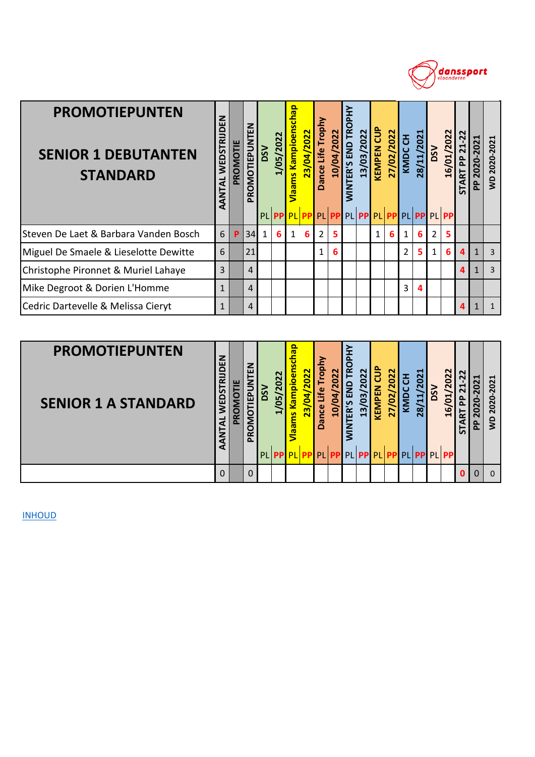

| <b>PROMOTIEPUNTEN</b><br><b>SENIOR 1 DEBUTANTEN</b><br><b>STANDARD</b> | WEDSTRIJDEN<br>AANTAL | PROMOTIE | PROMOTIEPUNTEN | <b>DSV</b>   | 1/05/2022 | Vlaams Kampioenschap | 23/04/2022 | Dance Life Trophy | 10/04/2022 | <b>WINTER'S END TROPHY</b> | 13/03/2022 | <b>KEMPEN CUP</b> | 27/02/2022 | KMDC CH        | 28/11/2021 | DSV            | 16/01/2022                    | 21-22<br><b>START PP</b> | PP 2020-2021 | WD 2020-2021   |
|------------------------------------------------------------------------|-----------------------|----------|----------------|--------------|-----------|----------------------|------------|-------------------|------------|----------------------------|------------|-------------------|------------|----------------|------------|----------------|-------------------------------|--------------------------|--------------|----------------|
|                                                                        |                       |          |                | PL           | <b>PP</b> | PL PP                |            |                   |            |                            |            |                   |            |                |            |                | PL PP PL PP PL PP PL PP PL PP |                          |              |                |
| Steven De Laet & Barbara Vanden Bosch                                  | 6                     | P        | 34             | $\mathbf{1}$ | 6         | $\mathbf{1}$         | 6          | 2                 | 5          |                            |            | 1                 | 6.         | $\mathbf{1}$   | 6          | $\overline{2}$ | 5                             |                          |              |                |
| Miguel De Smaele & Lieselotte Dewitte                                  | 6                     |          | 21             |              |           |                      |            | $\mathbf{1}$      | 6          |                            |            |                   |            | $\overline{2}$ | 5          | $\mathbf{1}$   | 6                             | Δ.                       | $\mathbf{1}$ | $\overline{3}$ |
| Christophe Pironnet & Muriel Lahaye                                    | 3                     |          | $\overline{4}$ |              |           |                      |            |                   |            |                            |            |                   |            |                |            |                |                               | Δ.                       | $\mathbf{1}$ | $\overline{3}$ |
| Mike Degroot & Dorien L'Homme                                          | $\mathbf{1}$          |          | $\overline{4}$ |              |           |                      |            |                   |            |                            |            |                   |            | 3              | 4          |                |                               |                          |              |                |
| Cedric Dartevelle & Melissa Cieryt                                     | $\mathbf{1}$          |          | $\overline{4}$ |              |           |                      |            |                   |            |                            |            |                   |            |                |            |                |                               | $\mathbf{A}$             | $\mathbf{1}$ | $\mathbf{1}$   |
|                                                                        |                       |          |                |              |           |                      |            |                   |            |                            |            |                   |            |                |            |                |                               |                          |              |                |
| <b>PROMOTIEPUNTEN</b><br><b>SENIOR 1 A STANDARD</b>                    | TAL WEDSTRIJDEN       | PROMOTIE | OMOTIEPUNTEN   | DSV          | 1/05/2022 | ams Kampioenschap    | 23/04/2022 | Dance Life Trophy | 10/04/2022 | <b>NTER'S END TROPHY</b>   | 13/03/2022 | <b>KEMPEN CUP</b> | 27/02/2022 | KMDC CH        | 28/11/2021 | <b>DSV</b>     | 16/01/2022                    | 21-22<br><b>TART PP</b>  | PP 2020-2021 | WD 2020-2021   |

| <b>PROMOTIEPUNTEN</b><br><b>SENIOR 1 A STANDARD</b> | z<br>ш<br>ᇎ<br>S<br><b>WED</b><br>₫ | щ<br>TOM<br><b>Q</b><br>$\Delta$ | z<br>ш<br>≏<br>面<br>≃<br>௳ | 2022<br>$\overline{50}$<br>$\blacksquare$ | <b>(ampioenschap</b><br>2022<br>$\overline{\mathbf{a}}$<br><u>ო</u><br><b>ms</b><br>les <mark>l</mark><br>PL PP PL PP PL PP PL PP PL PP PL PP PL PP PL | ۴<br>ance<br>۵ | $\mathbf{z}$<br>₹<br>o | о<br>Ě<br><b>을</b><br>ĒŔ<br>≧<br>≷ | 2022<br>$\overline{03}$<br>$\overline{13}$ | ဦ<br>7<br>KEM | 2022<br>$\mathbf{S}$<br>27 | 舌<br>≂ | ᆗ<br>$\overline{\mathbf{r}}$<br>0<br>N<br>H.<br>4<br>$\overline{28}$ | ŠΩ | /2022<br>16/01, | 5 | o<br>ᇍ | 2021<br>2020<br>Ş |
|-----------------------------------------------------|-------------------------------------|----------------------------------|----------------------------|-------------------------------------------|--------------------------------------------------------------------------------------------------------------------------------------------------------|----------------|------------------------|------------------------------------|--------------------------------------------|---------------|----------------------------|--------|----------------------------------------------------------------------|----|-----------------|---|--------|-------------------|
|                                                     |                                     |                                  | 0                          |                                           |                                                                                                                                                        |                |                        |                                    |                                            |               |                            |        |                                                                      |    |                 |   |        | $\Omega$          |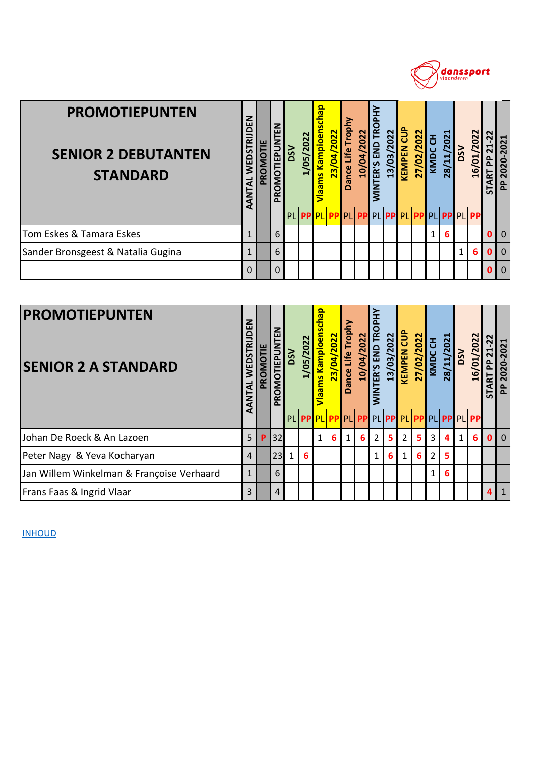

| <b>PROMOTIEPUNTEN</b><br><b>SENIOR 2 DEBUTANTEN</b><br><b>STANDARD</b> | WEDSTRIJDEN<br>AANTAL  | PROMOTIE | PROMOTIEPUNTEN      | <b>DSV</b> | 1/05/2022 | dey<br><b>Vlaams Kampioens</b>               | 23/04/2022         | Dance Life Trophy | 10/04/2022 | <b>WINTER'S END TROPHY</b> | 13/03/2022 | <b>KEMPEN CUP</b> | 27/02/2022 | KMDC CH | 28/11/2021              | <b>NSO</b> | 16/01/2022 | <b>START PP 21-22</b>   | PP 2020-2021           |
|------------------------------------------------------------------------|------------------------|----------|---------------------|------------|-----------|----------------------------------------------|--------------------|-------------------|------------|----------------------------|------------|-------------------|------------|---------|-------------------------|------------|------------|-------------------------|------------------------|
|                                                                        |                        |          |                     |            |           |                                              | PL <b>PPPLPLPP</b> |                   | PL PP      |                            |            |                   |            |         | PL PP PL PP PL PP PL PP |            |            |                         |                        |
| Tom Eskes & Tamara Eskes                                               | $\mathbf{1}$           |          | 6                   |            |           |                                              |                    |                   |            |                            |            |                   |            | 1       | 6                       |            |            | $\bf{0}$                | $\mathbf{0}$           |
| Sander Bronsgeest & Natalia Gugina                                     | $\mathbf{1}$           |          | 6                   |            |           |                                              |                    |                   |            |                            |            |                   |            |         |                         | 1          | 6          | 0                       | $\mathbf 0$            |
|                                                                        | 0                      |          | $\Omega$            |            |           |                                              |                    |                   |            |                            |            |                   |            |         |                         |            |            | 0                       | $\mathbf 0$            |
|                                                                        |                        |          |                     |            |           |                                              |                    |                   |            |                            |            |                   |            |         |                         |            |            |                         |                        |
| <b>PROMOTIEPUNTEN</b><br><b>SENIOR 2 A STANDARD</b>                    | <b>TAL WEDSTRIJDEN</b> | PROMOTIE | <b>OMOTIEPUNTEN</b> | <b>DSV</b> | 1/05/2022 | <b>geup</b><br><b>Kampioens</b><br><b>am</b> | 23/04/2022         | Dance Life Trophy | 10/04/2022 | <b>NTER'S END TROPHY</b>   | 13/03/2022 | <b>KEMPEN CUP</b> | 27/02/2022 | KMDC CH | 28/11/2021              | <b>DSV</b> | 16/01/2022 | 21-22<br><b>TART PP</b> | 2020-2021<br>$\approx$ |

| <b>PROMOTIEPUNTEN</b><br><b>SENIOR 2 A STANDARD</b> | ш<br>空<br>₹    | PROMOTIE | ш<br><b>MOTIEPUNT</b><br>PRO | DSV          | /05/2022 | <b>gedp</b><br><u>Kampioen</u><br><b>Than S</b> | 2022<br>$\overline{6}$ | <b>Lobu</b><br>Life<br><b>Dance</b> | 04/2022<br><u>/01</u> | ER'S END TROPI<br>NINT | 13/03/2022     | <b>KEMPEN CUP</b> | 27/02/2022 | 품<br><b>KMDC</b> | <b>2021</b><br>28/11/ | DSV          | 16/01/2022 | 22<br>$21 -$<br>$\mathbf{a}$<br>运<br>⋖<br>5 | 2020-2021<br>$\approx$ |
|-----------------------------------------------------|----------------|----------|------------------------------|--------------|----------|-------------------------------------------------|------------------------|-------------------------------------|-----------------------|------------------------|----------------|-------------------|------------|------------------|-----------------------|--------------|------------|---------------------------------------------|------------------------|
|                                                     |                |          |                              |              |          | PL PP PL PP PL PP PL PP PL PP PL PP PL PP PL    |                        |                                     |                       |                        |                |                   |            |                  |                       |              |            |                                             |                        |
| Johan De Roeck & An Lazoen                          | 5 <sub>1</sub> | P        | 32                           |              |          | 1                                               | 6                      | $1\vert$                            | 6                     | $\overline{2}$         | 5 <sup>1</sup> | $\overline{2}$    | 5          | 3                | 4                     | $\mathbf{1}$ | 6          | $\Omega$                                    | $\overline{0}$         |
| Peter Nagy & Yeva Kocharyan                         | $\overline{4}$ |          | 23                           | $\mathbf{1}$ | 6        |                                                 |                        |                                     |                       | $\mathbf{1}$           | 6              | $\mathbf{1}$      | 6          | $\overline{2}$   | 5                     |              |            |                                             |                        |
| Jan Willem Winkelman & Françoise Verhaard           | 1              |          | 6                            |              |          |                                                 |                        |                                     |                       |                        |                |                   |            | 1                | 6                     |              |            |                                             |                        |
| <b>Frans Faas &amp; Ingrid Vlaar</b>                | 3              |          | 4                            |              |          |                                                 |                        |                                     |                       |                        |                |                   |            |                  |                       |              |            |                                             | $\mathbf{1}$           |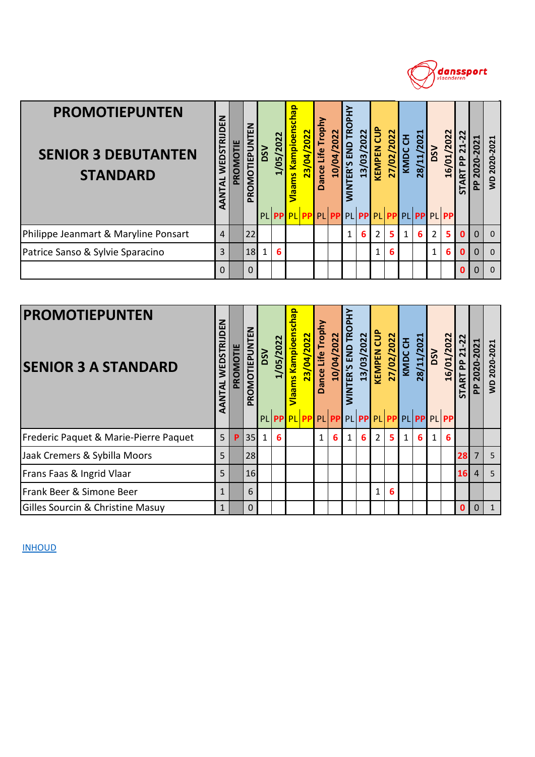

| <b>PROMOTIEPUNTEN</b><br><b>SENIOR 3 DEBUTANTEN</b><br><b>STANDARD</b> | WEDSTRIJDEN<br>AANTAL     | <b>PROMOTIE</b> | PROMOTIEPUNTEN | <b>NSQ</b> | 1/05/2022 | Vlaams Kampioenschap | 23/04/2022 | Dance Life Trophy                    | 10/04/2022 | <b>WINTER'S END TROPHY</b> | 13/03/2022 | <b>KEMPEN CUP</b> | 27/02/2022     | KMDC CH      | 28/11/2021                             | <b>USO</b>     | 16/01/2022 | 21-22<br><b>START PP</b>      | PP 2020-2021          | WD 2020-2021 |
|------------------------------------------------------------------------|---------------------------|-----------------|----------------|------------|-----------|----------------------|------------|--------------------------------------|------------|----------------------------|------------|-------------------|----------------|--------------|----------------------------------------|----------------|------------|-------------------------------|-----------------------|--------------|
|                                                                        |                           |                 |                |            | PL PP     |                      |            |                                      |            |                            |            |                   |                |              | PL PP PL PP PL PP PL PP PL PP PL PP PL |                |            |                               |                       |              |
| Philippe Jeanmart & Maryline Ponsart                                   | $\overline{4}$            |                 | 22             |            |           |                      |            |                                      |            | 1                          | 6          | 2                 | 5 <sup>1</sup> | $\mathbf{1}$ | 6                                      | $\overline{2}$ | 5          | $\mathbf{0}$                  | $\mathbf{0}$          | $\mathbf{0}$ |
| Patrice Sanso & Sylvie Sparacino                                       | 3                         |                 | 18             | 1          | 6         |                      |            |                                      |            |                            |            | 1                 | 6              |              |                                        | $\mathbf{1}$   | 6          | $\mathbf{0}$                  | $\Omega$              | $\mathbf 0$  |
|                                                                        | 0                         |                 | 0              |            |           |                      |            |                                      |            |                            |            |                   |                |              |                                        |                |            | $\Omega$                      | $\Omega$              | $\mathbf 0$  |
|                                                                        |                           |                 |                |            |           |                      |            |                                      |            |                            |            |                   |                |              |                                        |                |            |                               |                       |              |
| <b>PROMOTIEPUNTEN</b><br><b>SENIOR 3 A STANDARD</b>                    | WEDSTRIJDEN<br><b>IAL</b> | PROMOTIE        | OMOTIEPUNTEN   | <b>NSQ</b> | 1/05/2022 | ams Kampioenschap    | 23/04/2022 | ance Life Trophy<br>$\triangleright$ | 10/04/2022 | <b>NTER'S END TROPHY</b>   | 13/03/2022 | <b>KEMPEN CUP</b> | 27/02/2022     | KMDC CH      | 28/11/2021                             | <b>DSV</b>     | 16/01/2022 | 21-22<br>$\mathbf{a}$<br>TART | 2020-2021<br><u>a</u> | WD 2020-2021 |

| <b>PROMOTIEPUNTEN</b><br><b>SENIOR 3 A STANDARD</b> | Z<br>Б<br><b>WEDSTRI</b><br>AANTAL | PROMOTIE | 롭<br>PROMOTIEPUNT | DSV          | 1/05/2022      | chap<br><b>/laams Kampioen</b><br>23/04/2022 | Dance Life Trophy | 10/04/2022 | <b><i>NINTER'S END TROPHY</i></b> | 13/03/2022      | <b>KEMPEN CUP</b> | 27/02/2022 | 공<br>KMDC    | 28/11/2021 | <b>NSO</b>   | 16/01/2022 | $\overline{2}$<br>$\overline{21}$<br><b>PP</b><br>덚<br>⋖<br>5 | ᆸ<br>202<br>$\mathbf{S}$<br>$\overline{\mathbf{S}}$<br>ᇍ | 2020-2021<br>$\mathbf{S}$ |
|-----------------------------------------------------|------------------------------------|----------|-------------------|--------------|----------------|----------------------------------------------|-------------------|------------|-----------------------------------|-----------------|-------------------|------------|--------------|------------|--------------|------------|---------------------------------------------------------------|----------------------------------------------------------|---------------------------|
|                                                     |                                    |          |                   |              |                | PL PP PL PP PL PP PL PP PL PP PL PP PL PP PL |                   |            |                                   |                 |                   |            |              |            |              |            |                                                               |                                                          |                           |
| Frederic Paquet & Marie-Pierre Paquet               | 5                                  | P        | 35                | $\mathbf{1}$ | $6\phantom{1}$ |                                              | $\mathbf{1}$      | 6          | $\mathbf{1}$                      | $6\phantom{1}6$ | $\overline{2}$    | 5          | $\mathbf{1}$ | 6          | $\mathbf{1}$ | 6          |                                                               |                                                          |                           |
| Jaak Cremers & Sybilla Moors                        | 5                                  |          | 28                |              |                |                                              |                   |            |                                   |                 |                   |            |              |            |              |            | 28                                                            |                                                          | 5                         |
| Frans Faas & Ingrid Vlaar                           | 5                                  |          | 16                |              |                |                                              |                   |            |                                   |                 |                   |            |              |            |              |            | <b>16</b>                                                     | $\vert$                                                  | 5                         |
| <b>Frank Beer &amp; Simone Beer</b>                 |                                    |          | 6                 |              |                |                                              |                   |            |                                   |                 | 1                 | 6          |              |            |              |            |                                                               |                                                          |                           |
| <b>Gilles Sourcin &amp; Christine Masuy</b>         | $\mathbf{1}$                       |          | $\Omega$          |              |                |                                              |                   |            |                                   |                 |                   |            |              |            |              |            | $\mathbf{0}$                                                  |                                                          | $\mathbf{1}$              |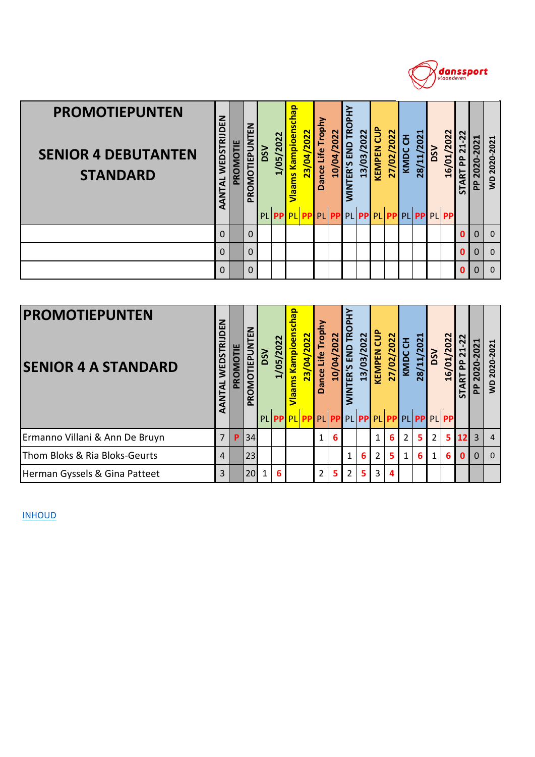

| <b>PROMOTIEPUNTEN</b><br><b>SENIOR 4 DEBUTANTEN</b><br><b>STANDARD</b> | WEDSTRIJDEN<br>AANTAL     | PROMOTIE | PROMOTIEPUNTEN      | <b>NSQ</b><br>PLI | 1/05/2022<br><b>PP</b> | Vlaams Kampioenschap<br>PL PP | 23/04/2022 | Dance Life Trophy<br>PL | 10/04/2022<br><b>PP</b> | <b>WINTER'S END TROPHY</b> | 13/03/2022<br>PL <b>PPPPLPP</b> | <b>KEMPEN CUP</b> | 27/02/2022 | <b>KMDC CH</b><br>PL | 28/11/2021 | <b>DSV</b> | 16/01/2022<br>PP PL PP | $21 - 22$<br><b>START PP</b> | PP 2020-2021   | WD 2020-2021 |
|------------------------------------------------------------------------|---------------------------|----------|---------------------|-------------------|------------------------|-------------------------------|------------|-------------------------|-------------------------|----------------------------|---------------------------------|-------------------|------------|----------------------|------------|------------|------------------------|------------------------------|----------------|--------------|
|                                                                        | $\Omega$                  |          | $\Omega$            |                   |                        |                               |            |                         |                         |                            |                                 |                   |            |                      |            |            |                        | <sup>0</sup>                 | $\overline{0}$ | $\mathbf 0$  |
|                                                                        | 0                         |          | $\Omega$            |                   |                        |                               |            |                         |                         |                            |                                 |                   |            |                      |            |            |                        | 0                            | 0              | $\mathbf 0$  |
|                                                                        | 0                         |          | $\Omega$            |                   |                        |                               |            |                         |                         |                            |                                 |                   |            |                      |            |            |                        | 0                            | $\mathbf 0$    | $\mathbf 0$  |
|                                                                        |                           |          |                     |                   |                        |                               |            |                         |                         |                            |                                 |                   |            |                      |            |            |                        |                              |                |              |
| <b>PROMOTIEPUNTEN</b><br><b>SENIOR 4 A STANDARD</b>                    | WEDSTRIJDEN<br><b>TAL</b> | PROMOTIE | <b>OMOTIEPUNTEN</b> | <b>NSQ</b>        | 1/05/2022              | ams Kampioenschap             | 23/04/2022 | Dance Life Trophy       | 10/04/2022              | <b>NTER'S END TROPHY</b>   | 13/03/2022                      | <b>KEMPEN CUP</b> | 27/02/2022 | <b>KMDCCH</b>        | 28/11/2021 | <b>DSV</b> | 16/01/2022             | 21-22<br><b>TART PP</b>      | PP 2020-2021   | WD 2020-2021 |

| <b>PROMOTIEPUNTEN</b><br><b>SENIOR 4 A STANDARD</b> | z<br>ш<br>ᇎ<br>WEDST<br>₹<br>₫ | PROMOTIE | z<br>ω<br>MOTIEPUNT<br>ဥ<br>$\Delta$ | SSV | /05/2022 | qeq<br>Kampioen<br>/04/2022<br>$\overline{23}$<br>ams <sup>1</sup><br>PL PP PL PP PL PP PL PP PL PP PL PP PL PP PL | <b>ao</b><br>Life<br>ance<br>≏ | 2022<br>र्व<br>ä | o<br>∝َ<br>END<br>ER'S | 13/03/2022 | <u>ទិ</u><br><b>KEMPEN</b> | 27/02/2022 | ᅗ<br>KMDC     | 021<br>$\overline{\mathbf{r}}$<br>28/11/ | $\mathsf{ss}$ | 16/01/2022     | $\overline{2}$<br>↤<br>군<br>5 | o<br>0<br>운    | $-2021$<br>2020-<br>g |
|-----------------------------------------------------|--------------------------------|----------|--------------------------------------|-----|----------|--------------------------------------------------------------------------------------------------------------------|--------------------------------|------------------|------------------------|------------|----------------------------|------------|---------------|------------------------------------------|---------------|----------------|-------------------------------|----------------|-----------------------|
| Ermanno Villani & Ann De Bruyn                      | 7                              | P        | 34                                   |     |          |                                                                                                                    | 1                              | 6                |                        |            | 1                          | 6          | $\mathcal{P}$ | 5                                        | 2             | 5 <sup>1</sup> | 12 <sup>1</sup>               | 3 <sub>1</sub> | 4                     |
| Thom Bloks & Ria Bloks-Geurts                       | $\overline{4}$                 |          | 23                                   |     |          |                                                                                                                    |                                |                  | 1                      | 6          | 2                          | 5          |               | 6                                        | 1             | 6 <sup>1</sup> | 0 I                           | $\Omega$       | $\Omega$              |
| Herman Gyssels & Gina Patteet                       | 3                              |          | 20                                   |     | 6        |                                                                                                                    | $\overline{2}$                 | 5.               | 2 <sup>1</sup>         | 5.         | 3                          |            |               |                                          |               |                |                               |                |                       |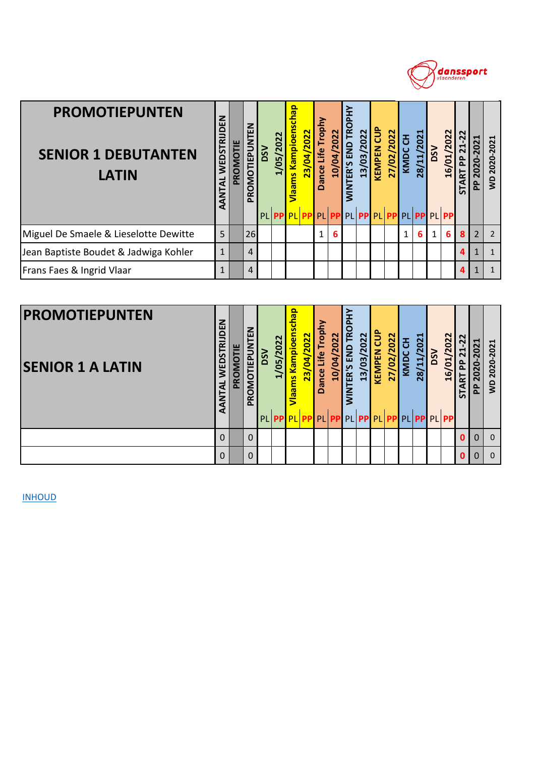

| <b>PROMOTIEPUNTEN</b><br><b>SENIOR 1 DEBUTANTEN</b><br><b>LATIN</b> | WEDSTRIJDEN<br>AANTAL     | PROMOTIE | PROMOTIEPUNTEN      | <b>NSQ</b> | 1/05/2022 | Vlaams Kampioenschap | 23/04/2022 | Dance Life Trophy | 10/04/2022 | <b>WINTER'S END TROPHY</b> | 13/03/2022 | <b>KEMPEN CUP</b> | 27/02/2022 | KMDC CH      | 28/11/2021                             | <b>DSV</b> | 16/01/2022 | 21-22<br><b>START PP</b>      | PP 2020-2021              | WD 2020-2021   |
|---------------------------------------------------------------------|---------------------------|----------|---------------------|------------|-----------|----------------------|------------|-------------------|------------|----------------------------|------------|-------------------|------------|--------------|----------------------------------------|------------|------------|-------------------------------|---------------------------|----------------|
|                                                                     |                           |          |                     |            | PL PP     |                      |            |                   |            |                            |            |                   |            |              | PL PP PL PP PL PP PL PP PL PP PL PP PL |            |            |                               |                           |                |
| Miguel De Smaele & Lieselotte Dewitte                               | 5                         |          | 26                  |            |           |                      |            | 1                 | 6          |                            |            |                   |            | $\mathbf{1}$ | 6                                      | 1          | 6          | 8                             | $\overline{2}$            | $\overline{2}$ |
| Jean Baptiste Boudet & Jadwiga Kohler                               | $\mathbf{1}$              |          | 4                   |            |           |                      |            |                   |            |                            |            |                   |            |              |                                        |            |            | $\boldsymbol{a}$              | $\mathbf{1}$              | $\mathbf{1}$   |
| Frans Faes & Ingrid Vlaar                                           | 1                         |          | 4                   |            |           |                      |            |                   |            |                            |            |                   |            |              |                                        |            |            | $\mathbf{a}$                  | $\mathbf{1}$              | $\mathbf{1}$   |
|                                                                     |                           |          |                     |            |           |                      |            |                   |            |                            |            |                   |            |              |                                        |            |            |                               |                           |                |
| <b>PROMOTIEPUNTEN</b><br><b>SENIOR 1 A LATIN</b>                    | WEDSTRIJDEN<br><b>TAL</b> | PROMOTIE | <b>OMOTIEPUNTEN</b> | <b>NSQ</b> | 1/05/2022 | ams Kampioenschap    | 23/04/2022 | Dance Life Trophy | 10/04/2022 | <b>NTER'S END TROPHY</b>   | 13/03/2022 | <b>KEMPEN CUP</b> | 27/02/2022 | KMDC CH      | 28/11/2021                             | <b>DSV</b> | 16/01/2022 | $21 - 22$<br><u>P</u><br>TART | 2020-2021<br>$\mathbf{a}$ | WD 2020-2021   |

| <b>PROMOTIEPUNTEN</b><br><b>SENIOR 1 A LATIN</b> | z<br>ш<br>쿈<br><b>WEDST</b><br>₹ | щ<br>PROMOT | Z<br>ш<br><b>IEPUI</b><br>TON<br>≃<br>௳ | ŠΩ | /05/2022 | deu:<br>Kampioen<br>23/04/2022<br><u>g</u><br>PL PP PL PP PL PP PL PP PL PP PL PP PL PP PL | rophy<br>Life<br><b>Dance</b> | 022<br>▿<br>å | ∍<br>Ě<br><u>은</u><br>$\mathbf{R}$ | /2022<br>$\overline{03}$<br>$\overline{13}$ | ້ວິ<br><b>KEMPEN</b> | 2022<br>27/02 | 품<br>o<br>ΜY | ᆋ<br>$\overline{\mathbf{N}}$<br>$\circ$<br>$\overline{\mathbf{N}}$<br>$\mathbf{u}$<br>$\overline{28}$ | ΩŠΟ | 16/01/2022 | $\sim$<br>$\sim$<br>$\blacktriangleleft$<br>$\mathbf{a}$<br>$\Omega$<br>넚<br>ব<br>55 | $\blacksquare$<br>$\sim$<br>o<br>o<br>$\sim$<br>o<br>운 | ᆗ<br>Ñ<br>20<br><b>2020</b><br>ş |
|--------------------------------------------------|----------------------------------|-------------|-----------------------------------------|----|----------|--------------------------------------------------------------------------------------------|-------------------------------|---------------|------------------------------------|---------------------------------------------|----------------------|---------------|--------------|-------------------------------------------------------------------------------------------------------|-----|------------|--------------------------------------------------------------------------------------|--------------------------------------------------------|----------------------------------|
|                                                  | $\Omega$                         |             |                                         |    |          |                                                                                            |                               |               |                                    |                                             |                      |               |              |                                                                                                       |     |            | O                                                                                    |                                                        | O                                |
|                                                  | $\Omega$                         |             | 0                                       |    |          |                                                                                            |                               |               |                                    |                                             |                      |               |              |                                                                                                       |     |            | n                                                                                    |                                                        | <sup>0</sup>                     |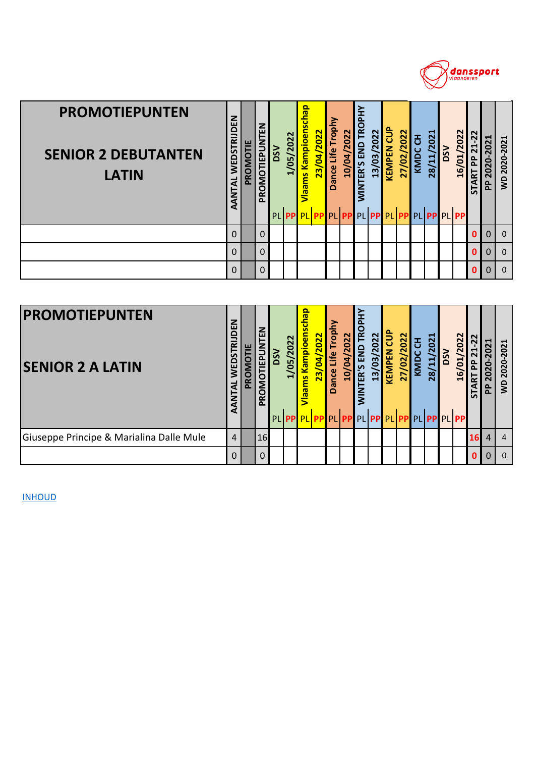

| <b>PROMOTIEPUNTEN</b><br><b>SENIOR 2 DEBUTANTEN</b><br><b>LATIN</b> | WEDSTRIJDEN<br>AANTAL  | PROMOTIE | PROMOTIEPUNTEN      | <b>NSQ</b><br>PL | 1/05/2022<br><b>PP</b> | Vlaams Kampioenschap<br><b>PL</b> PP | 23/04/2022 | Dance Life Trophy<br>PL | <b>10/04/2022</b><br><b>PP</b> | <b>WINTER'S END TROPHY</b>  | 13/03/2022<br>PL PP PL PP | <b>KEMPEN CUP</b> | 27/02/2022 | KMDC CH<br>PL | 28/11/2021<br><b>PP</b> | <b>DSV</b> | 16/01/2022<br><b>PL PP</b> | <b>START PP 21-22</b> | PP 2020-2021   | WD 2020-2021 |
|---------------------------------------------------------------------|------------------------|----------|---------------------|------------------|------------------------|--------------------------------------|------------|-------------------------|--------------------------------|-----------------------------|---------------------------|-------------------|------------|---------------|-------------------------|------------|----------------------------|-----------------------|----------------|--------------|
|                                                                     | $\Omega$               |          | $\Omega$            |                  |                        |                                      |            |                         |                                |                             |                           |                   |            |               |                         |            |                            | $\mathbf{0}$          | $\Omega$       | $\mathbf 0$  |
|                                                                     | $\Omega$               |          | $\Omega$            |                  |                        |                                      |            |                         |                                |                             |                           |                   |            |               |                         |            |                            | $\mathbf{0}$          | $\overline{0}$ | $\mathbf 0$  |
|                                                                     | 0                      |          | $\Omega$            |                  |                        |                                      |            |                         |                                |                             |                           |                   |            |               |                         |            |                            | $\mathbf{0}$          | $\mathbf 0$    | $\mathbf 0$  |
|                                                                     |                        |          |                     |                  |                        |                                      |            |                         |                                |                             |                           |                   |            |               |                         |            |                            |                       |                |              |
| <b>PROMOTIEPUNTEN</b><br><b>SENIOR 2 A LATIN</b>                    | WEDSTRIJDEN<br>E<br>Al | PROMOTIE | <b>DMOTIEPUNTEN</b> | <b>NSQ</b>       | 1/05/2022              | ams Kampioenschap                    | 23/04/2022 | Dance Life Trophy       | 10/04/2022                     | <b>TROPHY</b><br>NTER'S END | 13/03/2022                | <b>KEMPEN CUP</b> | 27/02/2022 | KMDC CH       | 28/11/2021              | <b>NSO</b> | 16/01/2022                 | <b>TART PP 21-22</b>  | PP 2020-2021   | WD 2020-2021 |

| <b>PROMOTIEPUNTEN</b><br><b>SENIOR 2 A LATIN</b> | DEN<br>ᇎ<br>5<br>WED <sub>®</sub><br>AANTAL | PROMOTIE | 롭<br>ÊP<br>⊢<br>0<br>O<br>$\propto$<br>$\sim$ | ႙ | 022<br>ம<br>ల | <u>ခု</u><br>ampioer<br>g<br>PL PP PL PP PL PP PL PP PL PP PL PP PL PP PL | 2022<br>$\overline{a}$<br>23, | Trophy<br>Life<br>Dance | 2022<br>$\overline{a}$<br>$\overline{10}$ | <b>TROPH</b><br>END<br>ER'S<br>$\frac{2}{5}$ | 022<br>$\mathbf{S}$<br>$\mathbf{a}$ | <b>NEN</b><br>KEN | $\sim$<br>$\overline{S}$<br>$\mathbf{S}$<br>27 | 공<br>KMDC | 28/11/2021 | SQ | /2022<br>$\overline{01}$<br>16 | $\sim$<br>군<br>а<br>ᇊ |         | 2020-2021<br>$\overline{\mathbf{s}}$ |
|--------------------------------------------------|---------------------------------------------|----------|-----------------------------------------------|---|---------------|---------------------------------------------------------------------------|-------------------------------|-------------------------|-------------------------------------------|----------------------------------------------|-------------------------------------|-------------------|------------------------------------------------|-----------|------------|----|--------------------------------|-----------------------|---------|--------------------------------------|
| Giuseppe Principe & Marialina Dalle Mule         | $\overline{4}$                              |          | 16                                            |   |               |                                                                           |                               |                         |                                           |                                              |                                     |                   |                                                |           |            |    |                                | 16 <sup>l</sup>       | $\vert$ | $\overline{4}$                       |
|                                                  | $\Omega$                                    |          | $\Omega$                                      |   |               |                                                                           |                               |                         |                                           |                                              |                                     |                   |                                                |           |            |    |                                | n                     |         | $\Omega$                             |